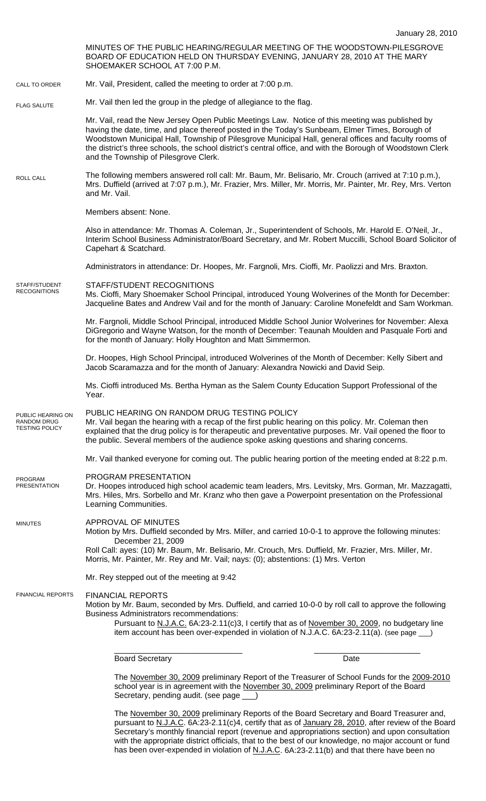MINUTES OF THE PUBLIC HEARING/REGULAR MEETING OF THE WOODSTOWN-PILESGROVE BOARD OF EDUCATION HELD ON THURSDAY EVENING, JANUARY 28, 2010 AT THE MARY SHOEMAKER SCHOOL AT 7:00 P.M. Mr. Vail, President, called the meeting to order at 7:00 p.m. Mr. Vail then led the group in the pledge of allegiance to the flag. Mr. Vail, read the New Jersey Open Public Meetings Law. Notice of this meeting was published by having the date, time, and place thereof posted in the Today's Sunbeam, Elmer Times, Borough of Woodstown Municipal Hall, Township of Pilesgrove Municipal Hall, general offices and faculty rooms of the district's three schools, the school district's central office, and with the Borough of Woodstown Clerk and the Township of Pilesgrove Clerk. The following members answered roll call: Mr. Baum, Mr. Belisario, Mr. Crouch (arrived at 7:10 p.m.), Mrs. Duffield (arrived at 7:07 p.m.), Mr. Frazier, Mrs. Miller, Mr. Morris, Mr. Painter, Mr. Rey, Mrs. Verton and Mr. Vail. Members absent: None. Also in attendance: Mr. Thomas A. Coleman, Jr., Superintendent of Schools, Mr. Harold E. O'Neil, Jr., Interim School Business Administrator/Board Secretary, and Mr. Robert Muccilli, School Board Solicitor of Capehart & Scatchard. Administrators in attendance: Dr. Hoopes, Mr. Fargnoli, Mrs. Cioffi, Mr. Paolizzi and Mrs. Braxton. STAFF/STUDENT RECOGNITIONS Ms. Cioffi, Mary Shoemaker School Principal, introduced Young Wolverines of the Month for December: Jacqueline Bates and Andrew Vail and for the month of January: Caroline Monefeldt and Sam Workman. Mr. Fargnoli, Middle School Principal, introduced Middle School Junior Wolverines for November: Alexa DiGregorio and Wayne Watson, for the month of December: Teaunah Moulden and Pasquale Forti and for the month of January: Holly Houghton and Matt Simmermon. Dr. Hoopes, High School Principal, introduced Wolverines of the Month of December: Kelly Sibert and Jacob Scaramazza and for the month of January: Alexandra Nowicki and David Seip. Ms. Cioffi introduced Ms. Bertha Hyman as the Salem County Education Support Professional of the Year. PUBLIC HEARING ON RANDOM DRUG TESTING POLICY Mr. Vail began the hearing with a recap of the first public hearing on this policy. Mr. Coleman then explained that the drug policy is for therapeutic and preventative purposes. Mr. Vail opened the floor to the public. Several members of the audience spoke asking questions and sharing concerns. Mr. Vail thanked everyone for coming out. The public hearing portion of the meeting ended at 8:22 p.m. PROGRAM PRESENTATION Dr. Hoopes introduced high school academic team leaders, Mrs. Levitsky, Mrs. Gorman, Mr. Mazzagatti, Mrs. Hiles, Mrs. Sorbello and Mr. Kranz who then gave a Powerpoint presentation on the Professional Learning Communities. APPROVAL OF MINUTES Motion by Mrs. Duffield seconded by Mrs. Miller, and carried 10-0-1 to approve the following minutes: December 21, 2009 Roll Call: ayes: (10) Mr. Baum, Mr. Belisario, Mr. Crouch, Mrs. Duffield, Mr. Frazier, Mrs. Miller, Mr. Morris, Mr. Painter, Mr. Rey and Mr. Vail; nays: (0); abstentions: (1) Mrs. Verton Mr. Rey stepped out of the meeting at 9:42 FINANCIAL REPORTS Motion by Mr. Baum, seconded by Mrs. Duffield, and carried 10-0-0 by roll call to approve the following Business Administrators recommendations: Pursuant to N.J.A.C. 6A:23-2.11(c)3, I certify that as of November 30, 2009, no budgetary line item account has been over-expended in violation of N.J.A.C. 6A:23-2.11(a). (see page \_ \_\_\_\_\_\_\_\_\_\_\_\_\_\_\_\_\_\_\_\_\_\_\_\_\_\_\_\_\_ \_\_\_\_\_\_\_\_\_\_\_\_\_\_\_\_\_\_\_\_\_\_\_\_ Board Secretary **Date** The November 30, 2009 preliminary Report of the Treasurer of School Funds for the 2009-2010 school year is in agreement with the November 30, 2009 preliminary Report of the Board Secretary, pending audit. (see page \_\_\_) CALL TO ORDER ROLL CALL FLAG SALUTE MINUTES FINANCIAL REPORTS STAFF/STUDENT RECOGNITIONS PUBLIC HEARING ON RANDOM DRUG TESTING POLICY PROGRAM PRESENTATION

> The November 30, 2009 preliminary Reports of the Board Secretary and Board Treasurer and, pursuant to N.J.A.C. 6A:23-2.11(c)4, certify that as of January 28, 2010, after review of the Board Secretary's monthly financial report (revenue and appropriations section) and upon consultation with the appropriate district officials, that to the best of our knowledge, no major account or fund has been over-expended in violation of N.J.A.C. 6A:23-2.11(b) and that there have been no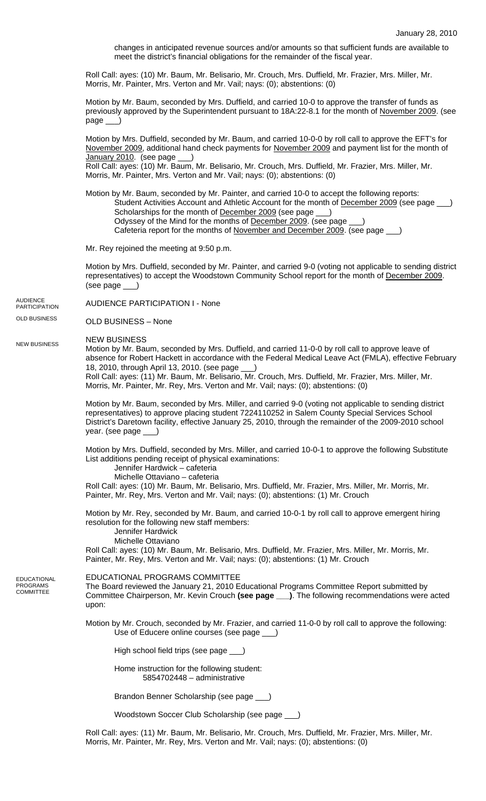changes in anticipated revenue sources and/or amounts so that sufficient funds are available to meet the district's financial obligations for the remainder of the fiscal year.

Roll Call: ayes: (10) Mr. Baum, Mr. Belisario, Mr. Crouch, Mrs. Duffield, Mr. Frazier, Mrs. Miller, Mr. Morris, Mr. Painter, Mrs. Verton and Mr. Vail; nays: (0); abstentions: (0)

Motion by Mr. Baum, seconded by Mrs. Duffield, and carried 10-0 to approve the transfer of funds as previously approved by the Superintendent pursuant to 18A:22-8.1 for the month of November 2009. (see page \_\_\_)

Motion by Mrs. Duffield, seconded by Mr. Baum, and carried 10-0-0 by roll call to approve the EFT's for November 2009, additional hand check payments for November 2009 and payment list for the month of January 2010. (see page \_\_) Roll Call: ayes: (10) Mr. Baum, Mr. Belisario, Mr. Crouch, Mrs. Duffield, Mr. Frazier, Mrs. Miller, Mr.

Morris, Mr. Painter, Mrs. Verton and Mr. Vail; nays: (0); abstentions: (0)

Motion by Mr. Baum, seconded by Mr. Painter, and carried 10-0 to accept the following reports: Student Activities Account and Athletic Account for the month of December 2009 (see page Scholarships for the month of December 2009 (see page Odyssey of the Mind for the months of December 2009. (see page \_\_\_) Cafeteria report for the months of November and December 2009. (see page  $\qquad$ 

Mr. Rey rejoined the meeting at 9:50 p.m.

Motion by Mrs. Duffield, seconded by Mr. Painter, and carried 9-0 (voting not applicable to sending district representatives) to accept the Woodstown Community School report for the month of December 2009. (see page \_\_\_)

AUDIENCE PARTICIPATION I - None AUDIENCE PARTICIPATION

OLD BUSINESS – None OLD BUSINESS

NEW BUSINESS NEW BUSINESS

Motion by Mr. Baum, seconded by Mrs. Duffield, and carried 11-0-0 by roll call to approve leave of absence for Robert Hackett in accordance with the Federal Medical Leave Act (FMLA), effective February 18, 2010, through April 13, 2010. (see page \_\_\_) Roll Call: ayes: (11) Mr. Baum, Mr. Belisario, Mr. Crouch, Mrs. Duffield, Mr. Frazier, Mrs. Miller, Mr. Morris, Mr. Painter, Mr. Rey, Mrs. Verton and Mr. Vail; nays: (0); abstentions: (0)

Motion by Mr. Baum, seconded by Mrs. Miller, and carried 9-0 (voting not applicable to sending district representatives) to approve placing student 7224110252 in Salem County Special Services School District's Daretown facility, effective January 25, 2010, through the remainder of the 2009-2010 school year. (see page \_\_\_)

Motion by Mrs. Duffield, seconded by Mrs. Miller, and carried 10-0-1 to approve the following Substitute List additions pending receipt of physical examinations:

Jennifer Hardwick – cafeteria

Michelle Ottaviano – cafeteria

Roll Call: ayes: (10) Mr. Baum, Mr. Belisario, Mrs. Duffield, Mr. Frazier, Mrs. Miller, Mr. Morris, Mr. Painter, Mr. Rey, Mrs. Verton and Mr. Vail; nays: (0); abstentions: (1) Mr. Crouch

Motion by Mr. Rey, seconded by Mr. Baum, and carried 10-0-1 by roll call to approve emergent hiring resolution for the following new staff members:

Jennifer Hardwick

Michelle Ottaviano

Roll Call: ayes: (10) Mr. Baum, Mr. Belisario, Mrs. Duffield, Mr. Frazier, Mrs. Miller, Mr. Morris, Mr. Painter, Mr. Rey, Mrs. Verton and Mr. Vail; nays: (0); abstentions: (1) Mr. Crouch

EDUCATIONAL PROGRAMS COMMITTEE

**EDUCATIONAL** PROGRAMS COMMITTEE

The Board reviewed the January 21, 2010 Educational Programs Committee Report submitted by Committee Chairperson, Mr. Kevin Crouch **(see page \_\_\_)**. The following recommendations were acted upon:

Motion by Mr. Crouch, seconded by Mr. Frazier, and carried 11-0-0 by roll call to approve the following: Use of Educere online courses (see page \_\_\_)

High school field trips (see page \_

Home instruction for the following student: 5854702448 – administrative

Brandon Benner Scholarship (see page \_\_\_)

Woodstown Soccer Club Scholarship (see page \_\_\_)

Roll Call: ayes: (11) Mr. Baum, Mr. Belisario, Mr. Crouch, Mrs. Duffield, Mr. Frazier, Mrs. Miller, Mr. Morris, Mr. Painter, Mr. Rey, Mrs. Verton and Mr. Vail; nays: (0); abstentions: (0)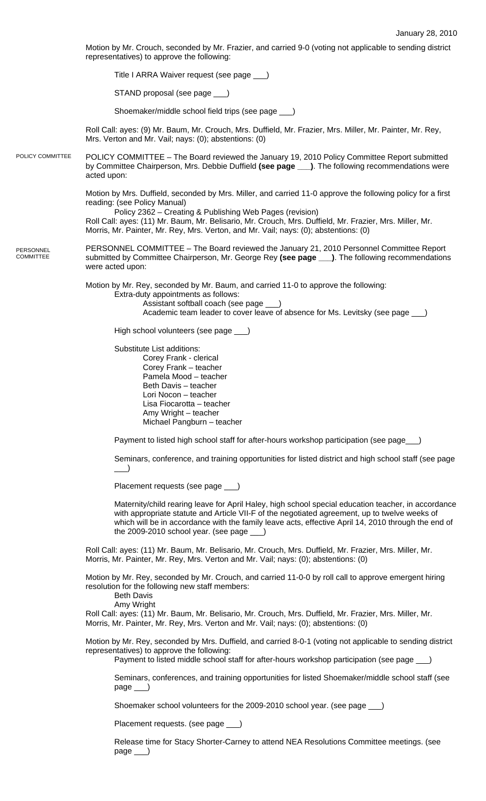Motion by Mr. Crouch, seconded by Mr. Frazier, and carried 9-0 (voting not applicable to sending district representatives) to approve the following:

Title I ARRA Waiver request (see page \_\_\_)

STAND proposal (see page \_\_

Shoemaker/middle school field trips (see page \_\_\_)

Roll Call: ayes: (9) Mr. Baum, Mr. Crouch, Mrs. Duffield, Mr. Frazier, Mrs. Miller, Mr. Painter, Mr. Rey, Mrs. Verton and Mr. Vail; nays: (0); abstentions: (0)

POLICY COMMITTEE – The Board reviewed the January 19, 2010 Policy Committee Report submitted by Committee Chairperson, Mrs. Debbie Duffield **(see page \_\_\_)**. The following recommendations were acted upon: POLICY COMMITTEE

> Motion by Mrs. Duffield, seconded by Mrs. Miller, and carried 11-0 approve the following policy for a first reading: (see Policy Manual)

 Policy 2362 – Creating & Publishing Web Pages (revision) Roll Call: ayes: (11) Mr. Baum, Mr. Belisario, Mr. Crouch, Mrs. Duffield, Mr. Frazier, Mrs. Miller, Mr. Morris, Mr. Painter, Mr. Rey, Mrs. Verton, and Mr. Vail; nays: (0); abstentions: (0)

PERSONNEL COMMITTEE – The Board reviewed the January 21, 2010 Personnel Committee Report submitted by Committee Chairperson, Mr. George Rey **(see page \_\_\_)**. The following recommendations were acted upon: PERSONNEL COMMITTEE

> Motion by Mr. Rey, seconded by Mr. Baum, and carried 11-0 to approve the following: Extra-duty appointments as follows: Assistant softball coach (see page \_\_\_) Academic team leader to cover leave of absence for Ms. Levitsky (see page )

High school volunteers (see page \_\_\_)

 Substitute List additions: Corey Frank - clerical Corey Frank – teacher Pamela Mood – teacher Beth Davis – teacher Lori Nocon – teacher Lisa Fiocarotta – teacher Amy Wright – teacher Michael Pangburn – teacher

Payment to listed high school staff for after-hours workshop participation (see page \_\_)

Seminars, conference, and training opportunities for listed district and high school staff (see page  $\rightarrow$ 

Placement requests (see page \_\_\_)

Maternity/child rearing leave for April Haley, high school special education teacher, in accordance with appropriate statute and Article VII-F of the negotiated agreement, up to twelve weeks of which will be in accordance with the family leave acts, effective April 14, 2010 through the end of the 2009-2010 school year. (see page  $\qquad$ )

Roll Call: ayes: (11) Mr. Baum, Mr. Belisario, Mr. Crouch, Mrs. Duffield, Mr. Frazier, Mrs. Miller, Mr. Morris, Mr. Painter, Mr. Rey, Mrs. Verton and Mr. Vail; nays: (0); abstentions: (0)

Motion by Mr. Rey, seconded by Mr. Crouch, and carried 11-0-0 by roll call to approve emergent hiring resolution for the following new staff members:

Beth Davis

Amy Wright

Roll Call: ayes: (11) Mr. Baum, Mr. Belisario, Mr. Crouch, Mrs. Duffield, Mr. Frazier, Mrs. Miller, Mr. Morris, Mr. Painter, Mr. Rey, Mrs. Verton and Mr. Vail; nays: (0); abstentions: (0)

Motion by Mr. Rey, seconded by Mrs. Duffield, and carried 8-0-1 (voting not applicable to sending district representatives) to approve the following:

Payment to listed middle school staff for after-hours workshop participation (see page \_

Seminars, conferences, and training opportunities for listed Shoemaker/middle school staff (see page \_\_\_)

Shoemaker school volunteers for the 2009-2010 school year. (see page \_\_\_)

Placement requests. (see page )

Release time for Stacy Shorter-Carney to attend NEA Resolutions Committee meetings. (see page \_\_\_)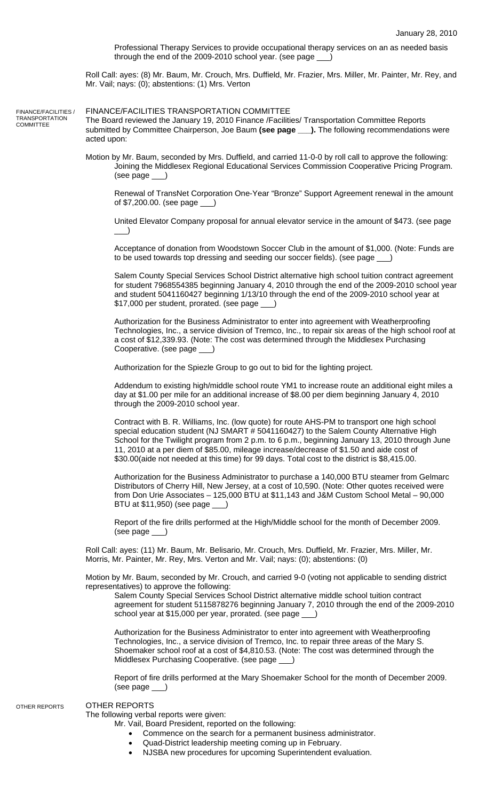Professional Therapy Services to provide occupational therapy services on an as needed basis through the end of the 2009-2010 school year. (see page \_\_\_)

Roll Call: ayes: (8) Mr. Baum, Mr. Crouch, Mrs. Duffield, Mr. Frazier, Mrs. Miller, Mr. Painter, Mr. Rey, and Mr. Vail; nays: (0); abstentions: (1) Mrs. Verton

FINANCE/FACILITIES / **TRANSPORTATION COMMITTEE** 

FINANCE/FACILITIES TRANSPORTATION COMMITTEE

The Board reviewed the January 19, 2010 Finance /Facilities/ Transportation Committee Reports submitted by Committee Chairperson, Joe Baum **(see page \_\_\_).** The following recommendations were acted upon:

Motion by Mr. Baum, seconded by Mrs. Duffield, and carried 11-0-0 by roll call to approve the following: Joining the Middlesex Regional Educational Services Commission Cooperative Pricing Program. (see page \_\_\_)

Renewal of TransNet Corporation One-Year "Bronze" Support Agreement renewal in the amount of \$7,200.00. (see page \_\_\_)

United Elevator Company proposal for annual elevator service in the amount of \$473. (see page  $\rightarrow$ 

 Acceptance of donation from Woodstown Soccer Club in the amount of \$1,000. (Note: Funds are to be used towards top dressing and seeding our soccer fields). (see page \_\_\_)

Salem County Special Services School District alternative high school tuition contract agreement for student 7968554385 beginning January 4, 2010 through the end of the 2009-2010 school year and student 5041160427 beginning 1/13/10 through the end of the 2009-2010 school year at \$17,000 per student, prorated. (see page \_\_\_)

Authorization for the Business Administrator to enter into agreement with Weatherproofing Technologies, Inc., a service division of Tremco, Inc., to repair six areas of the high school roof at a cost of \$12,339.93. (Note: The cost was determined through the Middlesex Purchasing Cooperative. (see page \_\_\_)

Authorization for the Spiezle Group to go out to bid for the lighting project.

Addendum to existing high/middle school route YM1 to increase route an additional eight miles a day at \$1.00 per mile for an additional increase of \$8.00 per diem beginning January 4, 2010 through the 2009-2010 school year.

Contract with B. R. Williams, Inc. (low quote) for route AHS-PM to transport one high school special education student (NJ SMART # 5041160427) to the Salem County Alternative High School for the Twilight program from 2 p.m. to 6 p.m., beginning January 13, 2010 through June 11, 2010 at a per diem of \$85.00, mileage increase/decrease of \$1.50 and aide cost of \$30.00(aide not needed at this time) for 99 days. Total cost to the district is \$8,415.00.

Authorization for the Business Administrator to purchase a 140,000 BTU steamer from Gelmarc Distributors of Cherry Hill, New Jersey, at a cost of 10,590. (Note: Other quotes received were from Don Urie Associates – 125,000 BTU at \$11,143 and J&M Custom School Metal – 90,000 BTU at \$11,950) (see page \_\_\_)

Report of the fire drills performed at the High/Middle school for the month of December 2009. (see page \_\_\_)

Roll Call: ayes: (11) Mr. Baum, Mr. Belisario, Mr. Crouch, Mrs. Duffield, Mr. Frazier, Mrs. Miller, Mr. Morris, Mr. Painter, Mr. Rey, Mrs. Verton and Mr. Vail; nays: (0); abstentions: (0)

Motion by Mr. Baum, seconded by Mr. Crouch, and carried 9-0 (voting not applicable to sending district representatives) to approve the following:

Salem County Special Services School District alternative middle school tuition contract agreement for student 5115878276 beginning January 7, 2010 through the end of the 2009-2010 school year at \$15,000 per year, prorated. (see page

Authorization for the Business Administrator to enter into agreement with Weatherproofing Technologies, Inc., a service division of Tremco, Inc. to repair three areas of the Mary S. Shoemaker school roof at a cost of \$4,810.53. (Note: The cost was determined through the Middlesex Purchasing Cooperative. (see page

Report of fire drills performed at the Mary Shoemaker School for the month of December 2009. (see page \_\_\_)

## OTHER REPORTS

OTHER REPORTS

The following verbal reports were given:

Mr. Vail, Board President, reported on the following:

• Commence on the search for a permanent business administrator.

- Quad-District leadership meeting coming up in February.
- NJSBA new procedures for upcoming Superintendent evaluation.